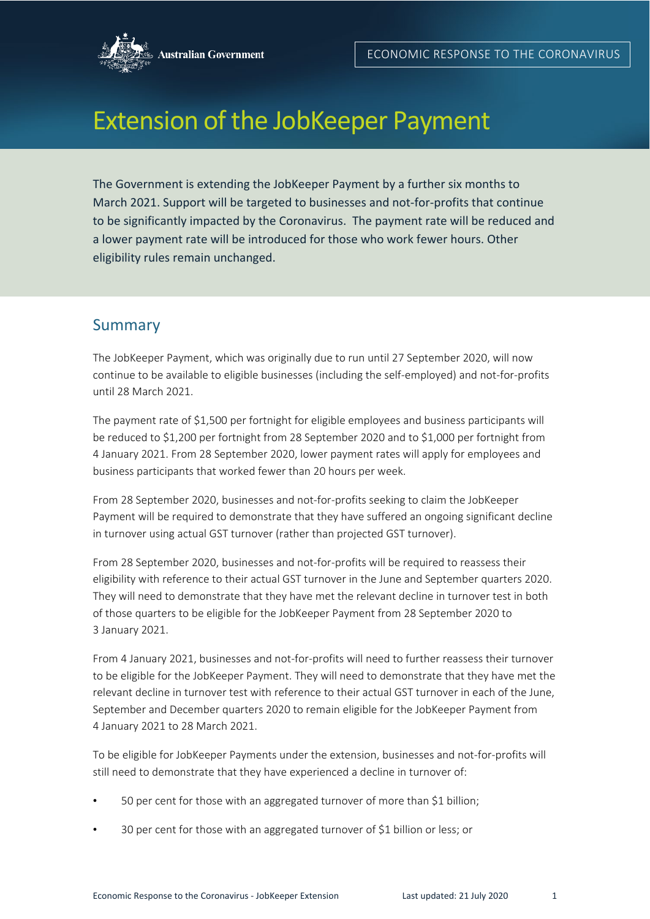

# Extension of the JobKeeper Payment

The Government is extending the JobKeeper Payment by a further six months to March 2021. Support will be targeted to businesses and not-for-profits that continue to be significantly impacted by the Coronavirus. The payment rate will be reduced and a lower payment rate will be introduced for those who work fewer hours. Other eligibility rules remain unchanged.

## Summary

The JobKeeper Payment, which was originally due to run until 27 September 2020, will now continue to be available to eligible businesses (including the self-employed) and not-for-profits until 28 March 2021.

The payment rate of \$1,500 per fortnight for eligible employees and business participants will be reduced to \$1,200 per fortnight from 28 September 2020 and to \$1,000 per fortnight from 4 January 2021. From 28 September 2020, lower payment rates will apply for employees and business participants that worked fewer than 20 hours per week.

From 28 September 2020, businesses and not-for-profits seeking to claim the JobKeeper Payment will be required to demonstrate that they have suffered an ongoing significant decline in turnover using actual GST turnover (rather than projected GST turnover).

From 28 September 2020, businesses and not-for-profits will be required to reassess their eligibility with reference to their actual GST turnover in the June and September quarters 2020. They will need to demonstrate that they have met the relevant decline in turnover test in both of those quarters to be eligible for the JobKeeper Payment from 28 September 2020 to 3 January 2021.

From 4 January 2021, businesses and not-for-profits will need to further reassess their turnover to be eligible for the JobKeeper Payment. They will need to demonstrate that they have met the relevant decline in turnover test with reference to their actual GST turnover in each of the June, September and December quarters 2020 to remain eligible for the JobKeeper Payment from 4 January 2021 to 28 March 2021.

To be eligible for JobKeeper Payments under the extension, businesses and not-for-profits will still need to demonstrate that they have experienced a decline in turnover of:

- 50 per cent for those with an aggregated turnover of more than \$1 billion;
- 30 per cent for those with an aggregated turnover of \$1 billion or less; or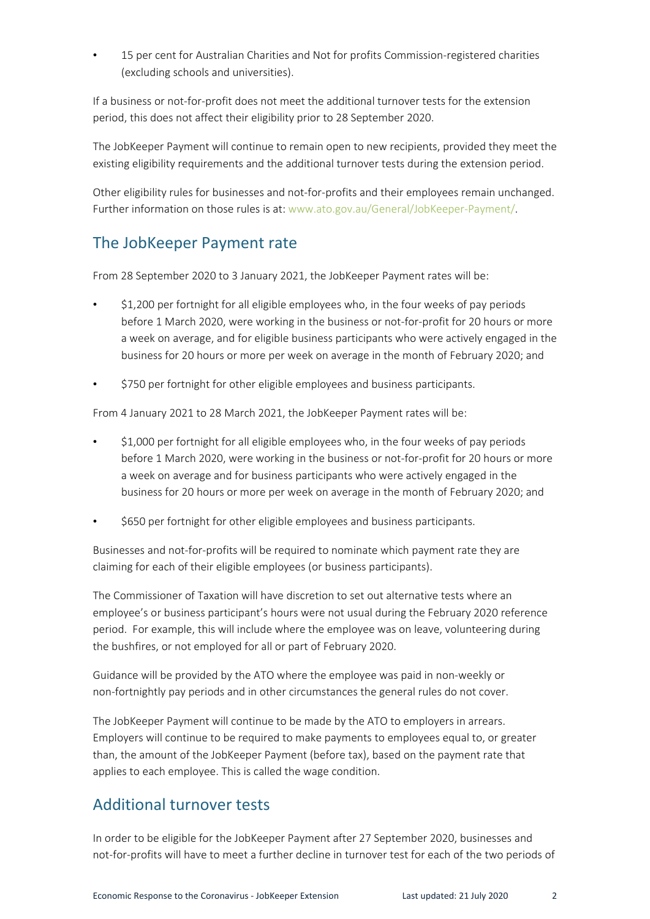• 15 per cent for Australian Charities and Not for profits Commission-registered charities (excluding schools and universities).

If a business or not-for-profit does not meet the additional turnover tests for the extension period, this does not affect their eligibility prior to 28 September 2020.

The JobKeeper Payment will continue to remain open to new recipients, provided they meet the existing eligibility requirements and the additional turnover tests during the extension period.

Other eligibility rules for businesses and not-for-profits and their employees remain unchanged. Further information on those rules is at: [www.ato.gov.au/General/JobKeeper-Payment/.](http://www.ato.gov.au/General/JobKeeper-Payment/)

## The JobKeeper Payment rate

From 28 September 2020 to 3 January 2021, the JobKeeper Payment rates will be:

- \$1,200 per fortnight for all eligible employees who, in the four weeks of pay periods before 1 March 2020, were working in the business or not-for-profit for 20 hours or more a week on average, and for eligible business participants who were actively engaged in the business for 20 hours or more per week on average in the month of February 2020; and
- \$750 per fortnight for other eligible employees and business participants.

From 4 January 2021 to 28 March 2021, the JobKeeper Payment rates will be:

- \$1,000 per fortnight for all eligible employees who, in the four weeks of pay periods before 1 March 2020, were working in the business or not-for-profit for 20 hours or more a week on average and for business participants who were actively engaged in the business for 20 hours or more per week on average in the month of February 2020; and
- \$650 per fortnight for other eligible employees and business participants.

Businesses and not-for-profits will be required to nominate which payment rate they are claiming for each of their eligible employees (or business participants).

The Commissioner of Taxation will have discretion to set out alternative tests where an employee's or business participant's hours were not usual during the February 2020 reference period. For example, this will include where the employee was on leave, volunteering during the bushfires, or not employed for all or part of February 2020.

Guidance will be provided by the ATO where the employee was paid in non-weekly or non-fortnightly pay periods and in other circumstances the general rules do not cover.

The JobKeeper Payment will continue to be made by the ATO to employers in arrears. Employers will continue to be required to make payments to employees equal to, or greater than, the amount of the JobKeeper Payment (before tax), based on the payment rate that applies to each employee. This is called the wage condition.

## Additional turnover tests

In order to be eligible for the JobKeeper Payment after 27 September 2020, businesses and not-for-profits will have to meet a further decline in turnover test for each of the two periods of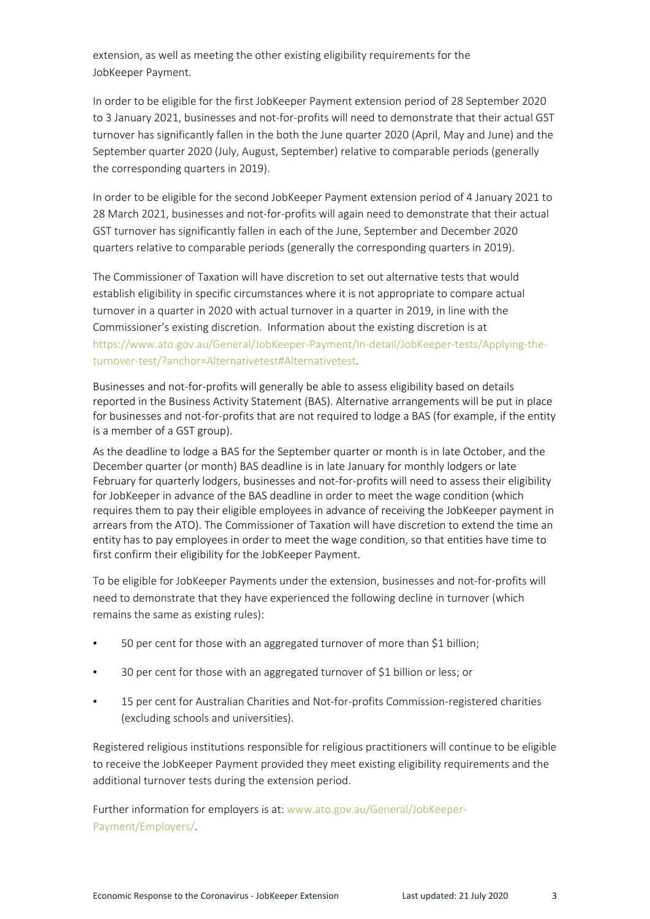extension, as well as meeting the other existing eligibility requirements for the JobKeeper Payment.

In order to be eligible for the first JobKeeper Payment extension period of 28 September 2020 to 3 January 2021, businesses and not-for-profits will need to demonstrate that their actual GST turnover has significantly fallen in the both the June quarter 2020 (April, May and June) and the September quarter 2020 (July, August, September) relative to comparable periods (generally the corresponding quarters in 2019).

In order to be eligible for the second JobKeeper Payment extension period of 4 January 2021 to 28 March 2021, businesses and not-for-profits will again need to demonstrate that their actual GST turnover has significantly fallen in each of the June, September and December 2020 quarters relative to comparable periods (generally the corresponding quarters in 2019).

The Commissioner of Taxation will have discretion to set out alternative tests that would establish eligibility in specific circumstances where it is not appropriate to compare actual turnover in a quarter in 2020 with actual turnover in a quarter in 2019, in line with the Commissioner's existing discretion. Information about the existing discretion is at [https://www.ato.gov.au/General/JobKeeper-Payment/In-detail/JobKeeper-tests/Applying-the](https://www.ato.gov.au/General/JobKeeper-Payment/In-detail/JobKeeper-tests/Applying-the-turnover-test/?anchor=Alternativetest#Alternativetest)[turnover-test/?anchor=Alternativetest#Alternativetest.](https://www.ato.gov.au/General/JobKeeper-Payment/In-detail/JobKeeper-tests/Applying-the-turnover-test/?anchor=Alternativetest#Alternativetest)

Businesses and not-for-profits will generally be able to assess eligibility based on details reported in the Business Activity Statement (BAS). Alternative arrangements will be put in place for businesses and not-for-profits that are not required to lodge a BAS (for example, if the entity is a member of a GST group).

As the deadline to lodge a BAS for the September quarter or month is in late October, and the December quarter (or month) BAS deadline is in late January for monthly lodgers or late February for quarterly lodgers, businesses and not-for-profits will need to assess their eligibility for JobKeeper in advance of the BAS deadline in order to meet the wage condition (which requires them to pay their eligible employees in advance of receiving the JobKeeper payment in arrears from the ATO). The Commissioner of Taxation will have discretion to extend the time an entity has to pay employees in order to meet the wage condition, so that entities have time to first confirm their eligibility for the JobKeeper Payment.

To be eligible for JobKeeper Payments under the extension, businesses and not-for-profits will need to demonstrate that they have experienced the following decline in turnover (which remains the same as existing rules):

- 50 per cent for those with an aggregated turnover of more than \$1 billion;
- 30 per cent for those with an aggregated turnover of \$1 billion or less; or
- 15 per cent for Australian Charities and Not-for-profits Commission-registered charities (excluding schools and universities).

Registered religious institutions responsible for religious practitioners will continue to be eligible to receive the JobKeeper Payment provided they meet existing eligibility requirements and the additional turnover tests during the extension period.

Further information for employers is at: [www.ato.gov.au/General/JobKeeper-](http://www.ato.gov.au/General/JobKeeper-Payment/Employers/)[Payment/Employers/.](http://www.ato.gov.au/General/JobKeeper-Payment/Employers/)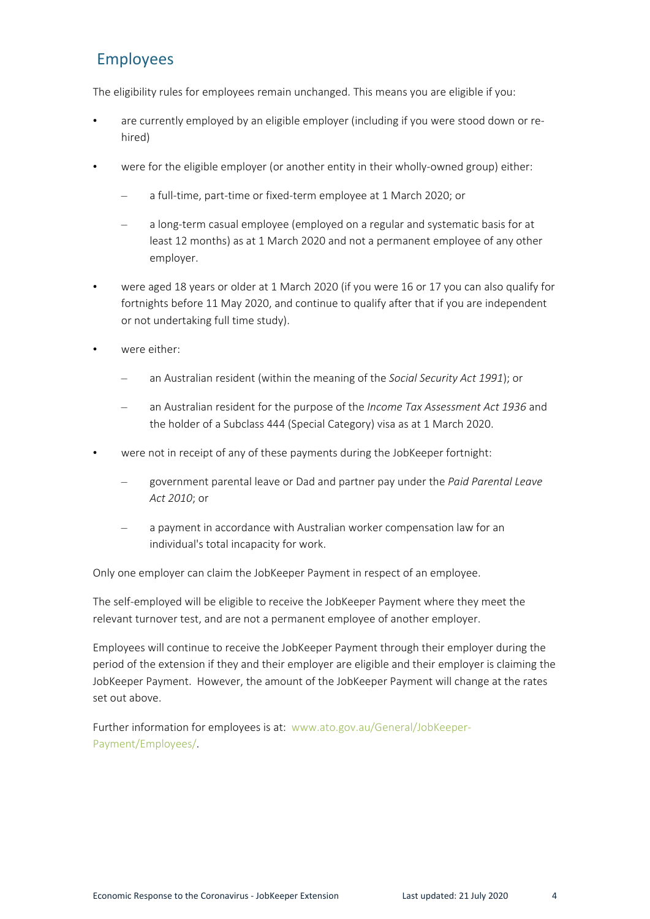# Employees

The eligibility rules for employees remain unchanged. This means you are eligible if you:

- are currently employed by an eligible employer (including if you were stood down or rehired)
- were for the eligible employer (or another entity in their wholly-owned group) either:
	- a full-time, part-time or fixed-term employee at 1 March 2020; or
	- a long-term casual employee (employed on a regular and systematic basis for at least 12 months) as at 1 March 2020 and not a permanent employee of any other employer.
- were aged 18 years or older at 1 March 2020 (if you were 16 or 17 you can also qualify for fortnights before 11 May 2020, and continue to qualify after that if you are independent or not undertaking full time study).
- were either:
	- an Australian resident (within the meaning of the *Social Security Act 1991*); or
	- an Australian resident for the purpose of the *Income Tax Assessment Act 1936* and the holder of a Subclass 444 (Special Category) visa as at 1 March 2020.
- were not in receipt of any of these payments during the JobKeeper fortnight:
	- government parental leave or Dad and partner pay under the *Paid Parental Leave Act 2010*; or
	- a payment in accordance with Australian worker compensation law for an individual's total incapacity for work.

Only one employer can claim the JobKeeper Payment in respect of an employee.

The self-employed will be eligible to receive the JobKeeper Payment where they meet the relevant turnover test, and are not a permanent employee of another employer.

Employees will continue to receive the JobKeeper Payment through their employer during the period of the extension if they and their employer are eligible and their employer is claiming the JobKeeper Payment. However, the amount of the JobKeeper Payment will change at the rates set out above.

Further information for employees is at: [www.ato.gov.au/General/JobKeeper-](http://www.ato.gov.au/General/JobKeeper-Payment/Employees/)[Payment/Employees/.](http://www.ato.gov.au/General/JobKeeper-Payment/Employees/)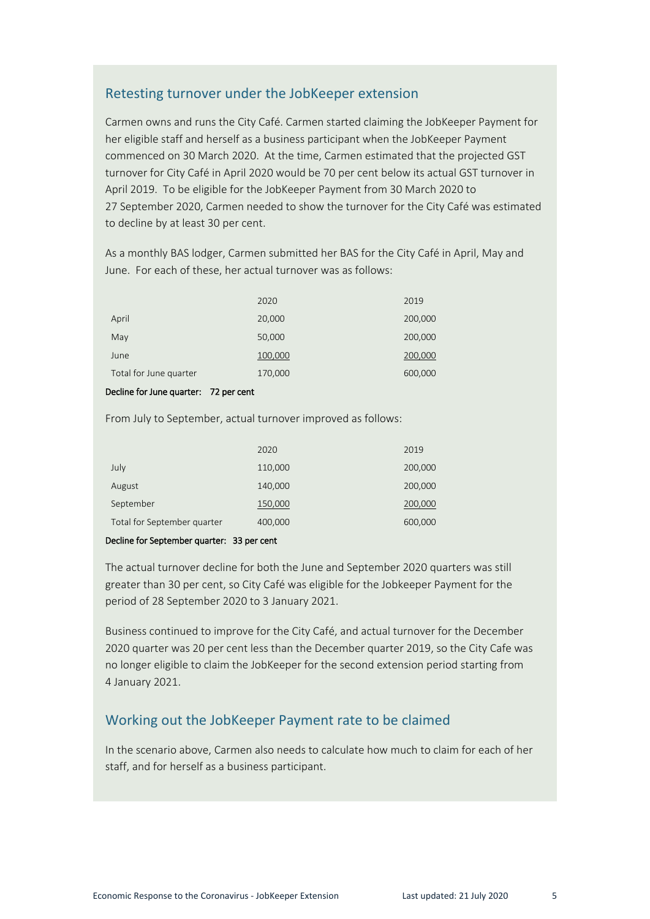### Retesting turnover under the JobKeeper extension

Carmen owns and runs the City Café. Carmen started claiming the JobKeeper Payment for her eligible staff and herself as a business participant when the JobKeeper Payment commenced on 30 March 2020. At the time, Carmen estimated that the projected GST turnover for City Café in April 2020 would be 70 per cent below its actual GST turnover in April 2019. To be eligible for the JobKeeper Payment from 30 March 2020 to 27 September 2020, Carmen needed to show the turnover for the City Café was estimated to decline by at least 30 per cent.

As a monthly BAS lodger, Carmen submitted her BAS for the City Café in April, May and June. For each of these, her actual turnover was as follows:

|                        | 2020    | 2019    |
|------------------------|---------|---------|
| April                  | 20,000  | 200,000 |
| May                    | 50,000  | 200,000 |
| June                   | 100,000 | 200,000 |
| Total for June quarter | 170,000 | 600,000 |

#### Decline for June quarter: 72 per cent

From July to September, actual turnover improved as follows:

|                             | 2020    | 2019    |
|-----------------------------|---------|---------|
| July                        | 110,000 | 200,000 |
| August                      | 140,000 | 200,000 |
| September                   | 150,000 | 200,000 |
| Total for September quarter | 400,000 | 600,000 |
|                             |         |         |

#### Decline for September quarter: 33 per cent

The actual turnover decline for both the June and September 2020 quarters was still greater than 30 per cent, so City Café was eligible for the Jobkeeper Payment for the period of 28 September 2020 to 3 January 2021.

Business continued to improve for the City Café, and actual turnover for the December 2020 quarter was 20 per cent less than the December quarter 2019, so the City Cafe was no longer eligible to claim the JobKeeper for the second extension period starting from 4 January 2021.

## Working out the JobKeeper Payment rate to be claimed

In the scenario above, Carmen also needs to calculate how much to claim for each of her staff, and for herself as a business participant.